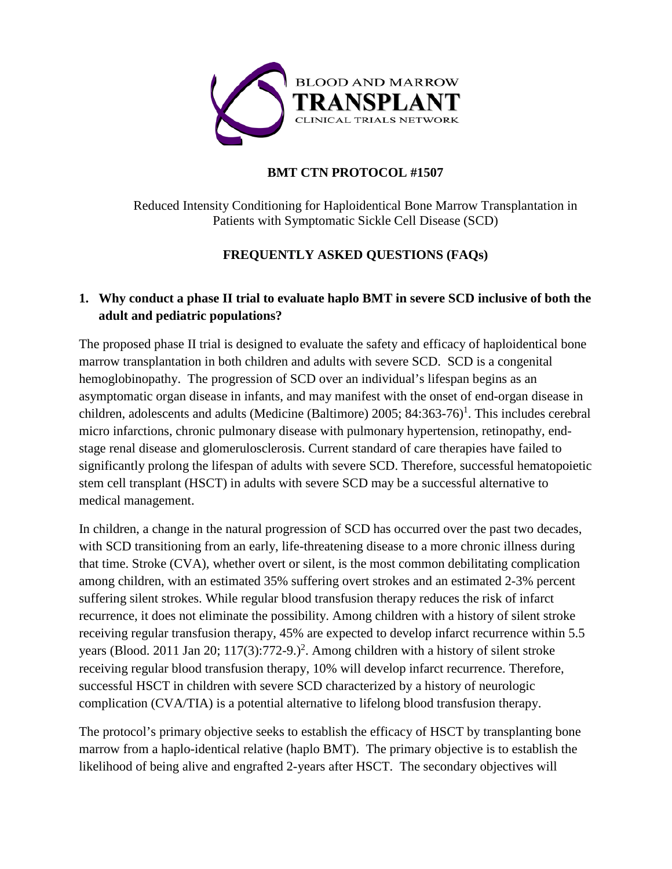

## **BMT CTN PROTOCOL #1507**

Reduced Intensity Conditioning for Haploidentical Bone Marrow Transplantation in Patients with Symptomatic Sickle Cell Disease (SCD)

## **FREQUENTLY ASKED QUESTIONS (FAQs)**

# **1. Why conduct a phase II trial to evaluate haplo BMT in severe SCD inclusive of both the adult and pediatric populations?**

The proposed phase II trial is designed to evaluate the safety and efficacy of haploidentical bone marrow transplantation in both children and adults with severe SCD. SCD is a congenital hemoglobinopathy. The progression of SCD over an individual's lifespan begins as an asymptomatic organ disease in infants, and may manifest with the onset of end-organ disease in children, adolescents and adults (Medicine (Baltimore) 2005; 84:363-76)<sup>1</sup>. This includes cerebral micro infarctions, chronic pulmonary disease with pulmonary hypertension, retinopathy, endstage renal disease and glomerulosclerosis. Current standard of care therapies have failed to significantly prolong the lifespan of adults with severe SCD. Therefore, successful hematopoietic stem cell transplant (HSCT) in adults with severe SCD may be a successful alternative to medical management.

In children, a change in the natural progression of SCD has occurred over the past two decades, with SCD transitioning from an early, life-threatening disease to a more chronic illness during that time. Stroke (CVA), whether overt or silent, is the most common debilitating complication among children, with an estimated 35% suffering overt strokes and an estimated 2-3% percent suffering silent strokes. While regular blood transfusion therapy reduces the risk of infarct recurrence, it does not eliminate the possibility. Among children with a history of silent stroke receiving regular transfusion therapy, 45% are expected to develop infarct recurrence within 5.5 years (Blood. 2011 Jan 20;  $117(3)$ :772-9.)<sup>2</sup>. Among children with a history of silent stroke receiving regular blood transfusion therapy, 10% will develop infarct recurrence. Therefore, successful HSCT in children with severe SCD characterized by a history of neurologic complication (CVA/TIA) is a potential alternative to lifelong blood transfusion therapy.

The protocol's primary objective seeks to establish the efficacy of HSCT by transplanting bone marrow from a haplo-identical relative (haplo BMT). The primary objective is to establish the likelihood of being alive and engrafted 2-years after HSCT. The secondary objectives will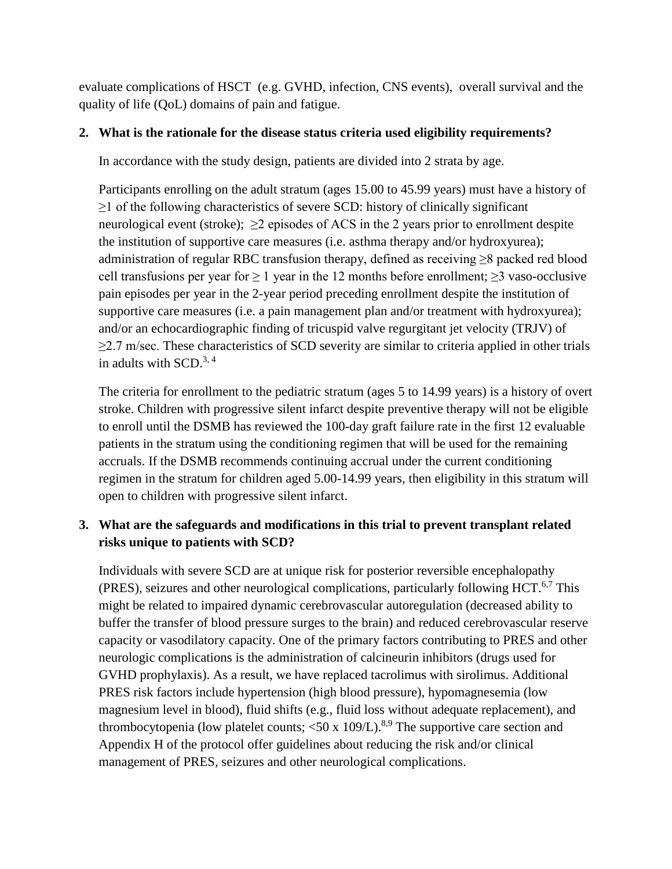evaluate complications of HSCT (e.g. GVHD, infection, CNS events), overall survival and the quality of life (QoL) domains of pain and fatigue.

#### **2. What is the rationale for the disease status criteria used eligibility requirements?**

In accordance with the study design, patients are divided into 2 strata by age.

Participants enrolling on the adult stratum (ages 15.00 to 45.99 years) must have a history of ≥1 of the following characteristics of severe SCD: history of clinically significant neurological event (stroke);  $>2$  episodes of ACS in the 2 years prior to enrollment despite the institution of supportive care measures (i.e. asthma therapy and/or hydroxyurea); administration of regular RBC transfusion therapy, defined as receiving ≥8 packed red blood cell transfusions per year for  $\geq 1$  year in the 12 months before enrollment;  $\geq 3$  vaso-occlusive pain episodes per year in the 2-year period preceding enrollment despite the institution of supportive care measures (i.e. a pain management plan and/or treatment with hydroxyurea); and/or an echocardiographic finding of tricuspid valve regurgitant jet velocity (TRJV) of  $\geq$ 2.7 m/sec. These characteristics of SCD severity are similar to criteria applied in other trials in adults with  $SCD<sup>3, 4</sup>$ 

The criteria for enrollment to the pediatric stratum (ages 5 to 14.99 years) is a history of overt stroke. Children with progressive silent infarct despite preventive therapy will not be eligible to enroll until the DSMB has reviewed the 100-day graft failure rate in the first 12 evaluable patients in the stratum using the conditioning regimen that will be used for the remaining accruals. If the DSMB recommends continuing accrual under the current conditioning regimen in the stratum for children aged 5.00-14.99 years, then eligibility in this stratum will open to children with progressive silent infarct.

## **3. What are the safeguards and modifications in this trial to prevent transplant related risks unique to patients with SCD?**

Individuals with severe SCD are at unique risk for posterior reversible encephalopathy (PRES), seizures and other neurological complications, particularly following HCT.<sup>6,7</sup> This might be related to impaired dynamic cerebrovascular autoregulation (decreased ability to buffer the transfer of blood pressure surges to the brain) and reduced cerebrovascular reserve capacity or vasodilatory capacity. One of the primary factors contributing to PRES and other neurologic complications is the administration of calcineurin inhibitors (drugs used for GVHD prophylaxis). As a result, we have replaced tacrolimus with sirolimus. Additional PRES risk factors include hypertension (high blood pressure), hypomagnesemia (low magnesium level in blood), fluid shifts (e.g., fluid loss without adequate replacement), and thrombocytopenia (low platelet counts;  $\langle 50 \times 109 \rangle$ ).<sup>8,9</sup> The supportive care section and Appendix H of the protocol offer guidelines about reducing the risk and/or clinical management of PRES, seizures and other neurological complications.